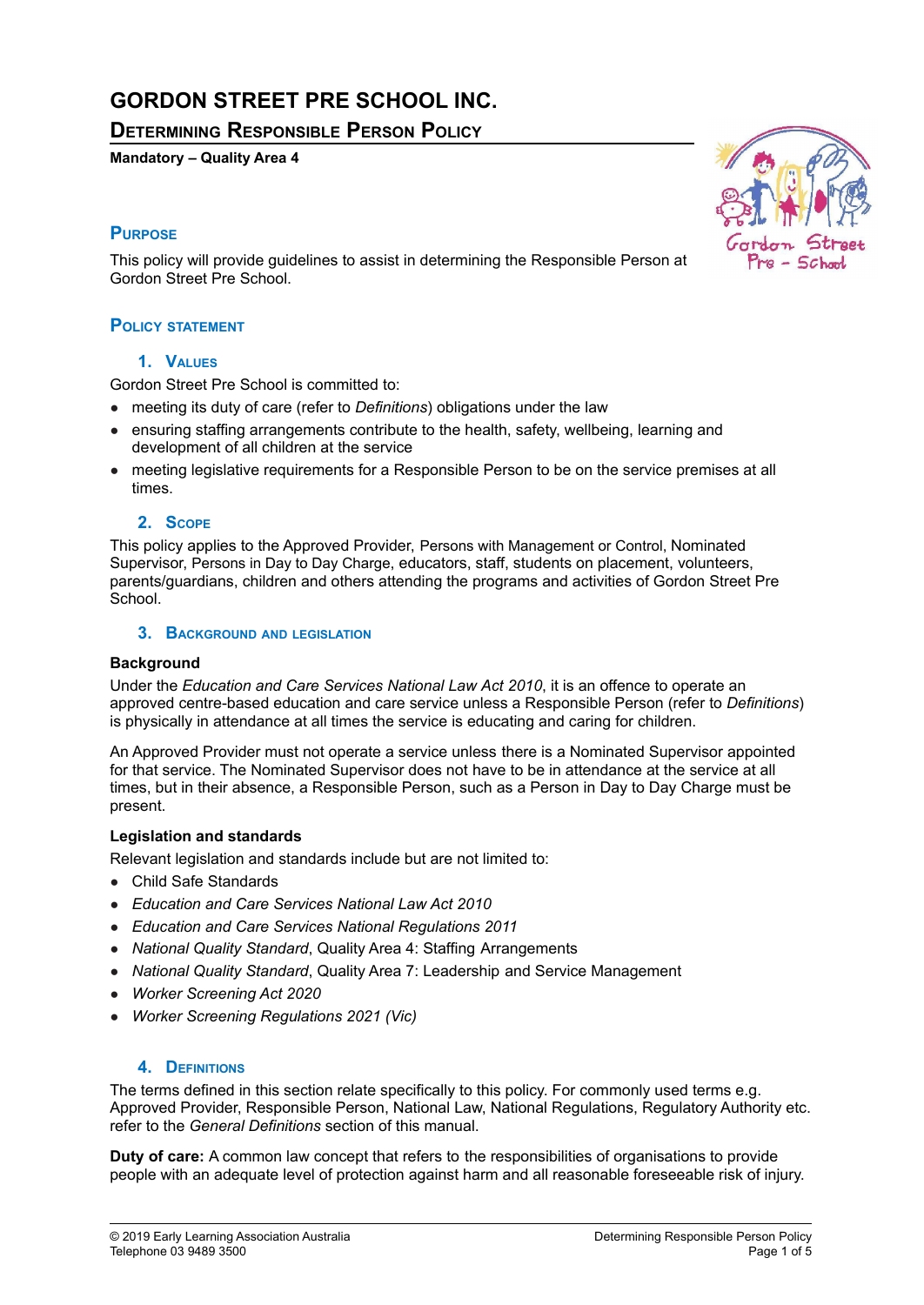# **GORDON STREET PRE SCHOOL INC.**

**DETERMINING RESPONSIBLE PERSON POLICY**

## **Mandatory – Quality Area 4**

# **PURPOSE**

This policy will provide guidelines to assist in determining the Responsible Person at Gordon Street Pre School.

## **POLICY STATEMENT**

#### **1. VALUES**

Gordon Street Pre School is committed to:

- meeting its duty of care (refer to *Definitions*) obligations under the law
- ensuring staffing arrangements contribute to the health, safety, wellbeing, learning and development of all children at the service
- meeting legislative requirements for a Responsible Person to be on the service premises at all times.

#### **2. SCOPE**

This policy applies to the Approved Provider, Persons with Management or Control, Nominated Supervisor, Persons in Day to Day Charge, educators, staff, students on placement, volunteers, parents/guardians, children and others attending the programs and activities of Gordon Street Pre School.

#### **3. BACKGROUND AND LEGISLATION**

#### **Background**

Under the *Education and Care Services National Law Act 2010*, it is an offence to operate an approved centre-based education and care service unless a Responsible Person (refer to *Definitions*) is physically in attendance at all times the service is educating and caring for children.

An Approved Provider must not operate a service unless there is a Nominated Supervisor appointed for that service. The Nominated Supervisor does not have to be in attendance at the service at all times, but in their absence, a Responsible Person, such as a Person in Day to Day Charge must be present.

#### **Legislation and standards**

Relevant legislation and standards include but are not limited to:

- Child Safe Standards
- *Education and Care Services National Law Act 2010*
- *Education and Care Services National Regulations 2011*
- *National Quality Standard*, Quality Area 4: Staffing Arrangements
- *National Quality Standard*, Quality Area 7: Leadership and Service Management
- *Worker Screening Act 2020*
- *Worker Screening Regulations 2021 (Vic)*

#### **4. DEFINITIONS**

The terms defined in this section relate specifically to this policy. For commonly used terms e.g. Approved Provider, Responsible Person, National Law, National Regulations, Regulatory Authority etc. refer to the *General Definitions* section of this manual.

**Duty of care:** A common law concept that refers to the responsibilities of organisations to provide people with an adequate level of protection against harm and all reasonable foreseeable risk of injury.

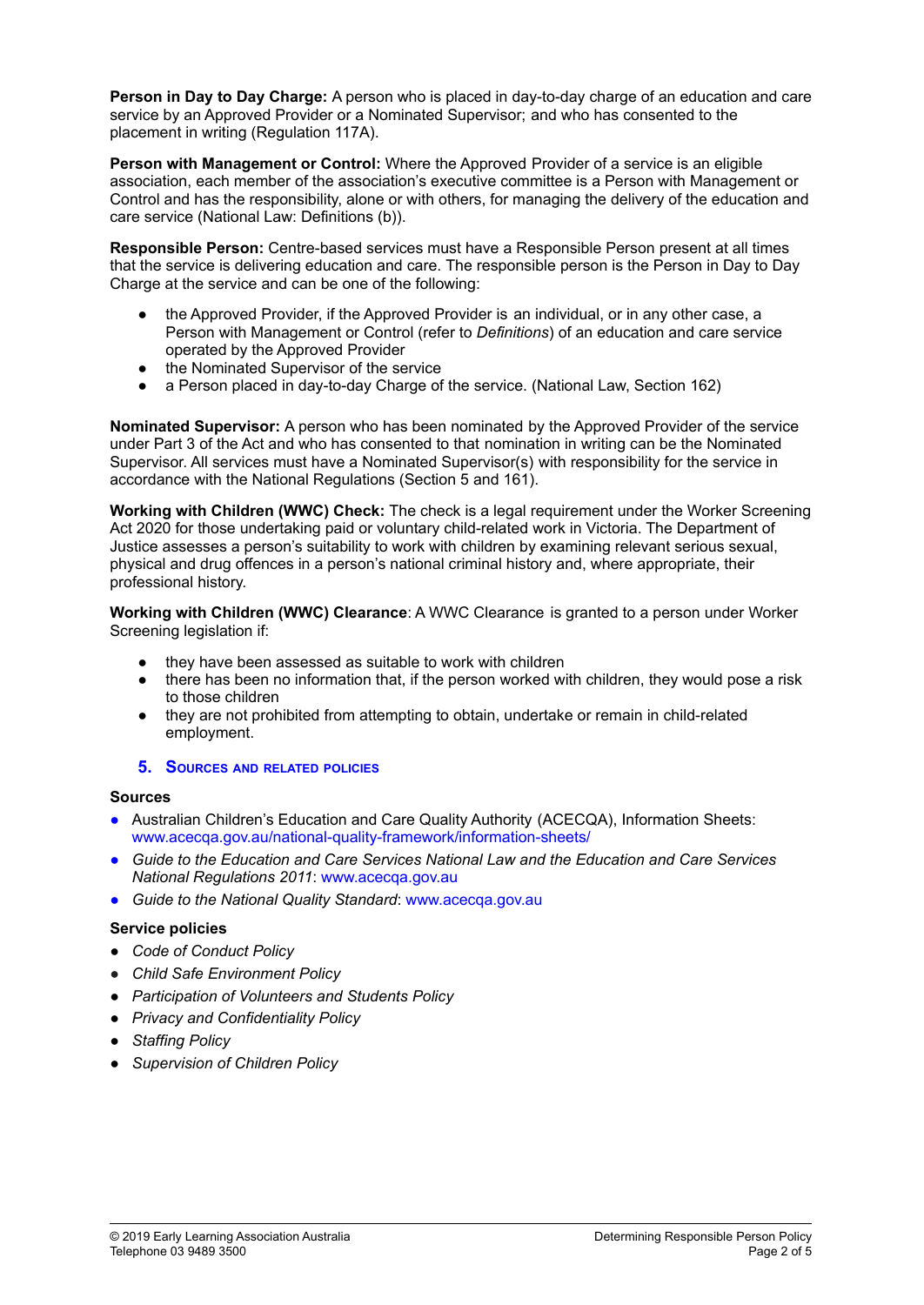**Person in Day to Day Charge:** A person who is placed in day-to-day charge of an education and care service by an Approved Provider or a Nominated Supervisor; and who has consented to the placement in writing (Regulation 117A).

**Person with Management or Control:** Where the Approved Provider of a service is an eligible association, each member of the association's executive committee is a Person with Management or Control and has the responsibility, alone or with others, for managing the delivery of the education and care service (National Law: Definitions (b)).

**Responsible Person:** Centre-based services must have a Responsible Person present at all times that the service is delivering education and care. The responsible person is the Person in Day to Day Charge at the service and can be one of the following:

- the Approved Provider, if the Approved Provider is an individual, or in any other case, a Person with Management or Control (refer to *Definitions*) of an education and care service operated by the Approved Provider
- the Nominated Supervisor of the service
- a Person placed in day-to-day Charge of the service. (National Law, Section 162)

**Nominated Supervisor:** A person who has been nominated by the Approved Provider of the service under Part 3 of the Act and who has consented to that nomination in writing can be the Nominated Supervisor. All services must have a Nominated Supervisor(s) with responsibility for the service in accordance with the National Regulations (Section 5 and 161).

**Working with Children (WWC) Check:** The check is a legal requirement under the Worker Screening Act 2020 for those undertaking paid or voluntary child-related work in Victoria. The Department of Justice assesses a person's suitability to work with children by examining relevant serious sexual, physical and drug offences in a person's national criminal history and, where appropriate, their professional history.

**Working with Children (WWC) Clearance**: A WWC Clearance is granted to a person under Worker Screening legislation if:

- they have been assessed as suitable to work with children
- there has been no information that, if the person worked with children, they would pose a risk to those children
- they are not prohibited from attempting to obtain, undertake or remain in child-related employment.

#### **5. SOURCES AND RELATED POLICIES**

#### **Sources**

- Australian Children's Education and Care Quality Authority (ACECQA), Information Sheets: [www.acecqa.gov.au/national-quality-framework/information-sheets/](http://www.acecqa.gov.au/national-quality-framework/information-sheets/)
- *Guide to the Education and Care Services National Law and the Education and Care Services National Regulations 2011*: [www.acecqa.gov.au](http://www.acecqa.gov.au)
- *Guide to the National Quality Standard*: [www.acecqa.gov.au](http://www.acecqa.gov.au)

#### **Service policies**

- *● Code of Conduct Policy*
- *● Child Safe Environment Policy*
- *● Participation of Volunteers and Students Policy*
- *● Privacy and Confidentiality Policy*
- *● Staffing Policy*
- *● Supervision of Children Policy*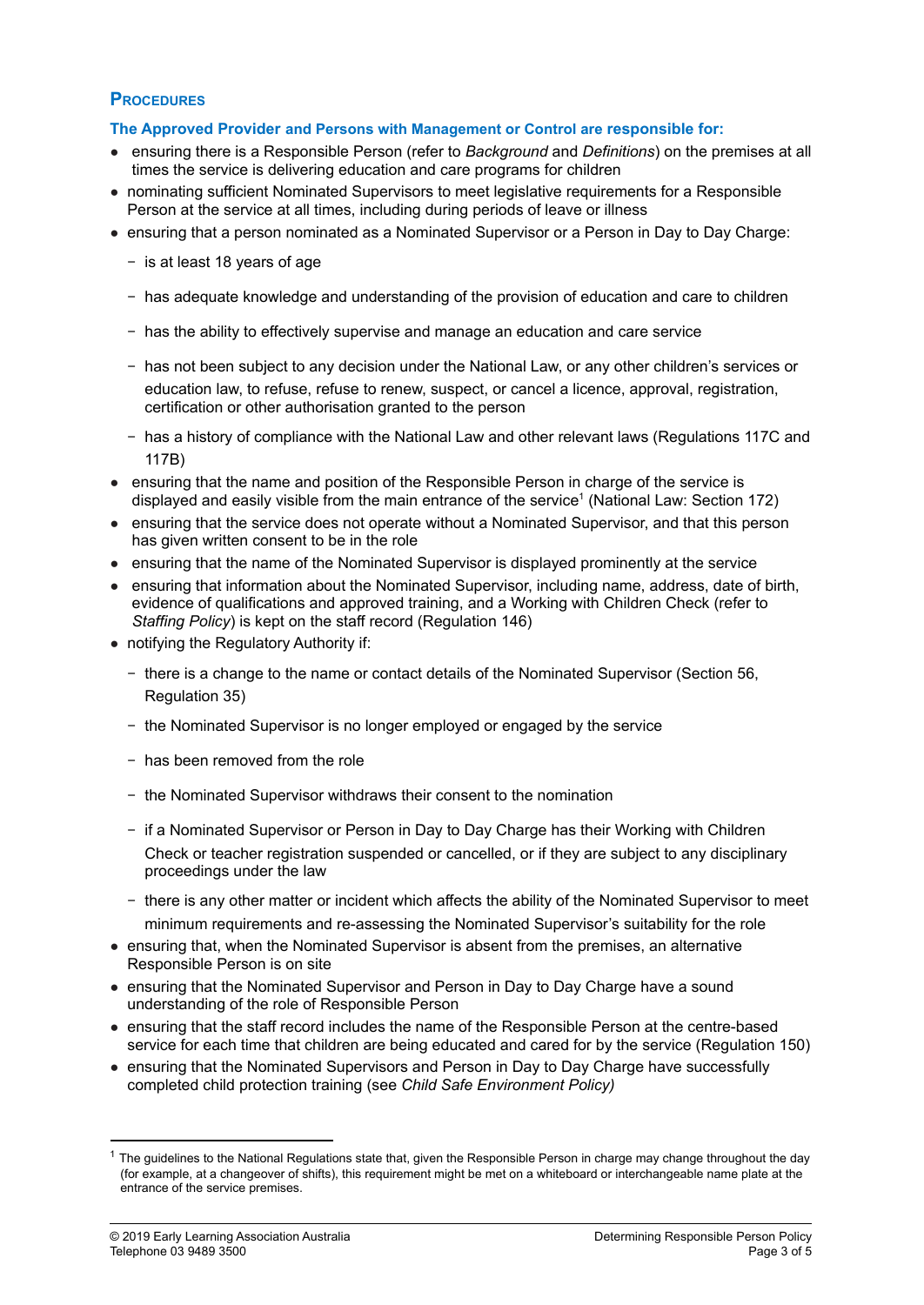# **PROCEDURES**

## **The Approved Provider and Persons with Management or Control are responsible for:**

- ensuring there is a Responsible Person (refer to *Background* and *Definitions*) on the premises at all times the service is delivering education and care programs for children
- nominating sufficient Nominated Supervisors to meet legislative requirements for a Responsible Person at the service at all times, including during periods of leave or illness
- ensuring that a person nominated as a Nominated Supervisor or a Person in Day to Day Charge:
	- − is at least 18 years of age
	- − has adequate knowledge and understanding of the provision of education and care to children
	- − has the ability to effectively supervise and manage an education and care service
	- − has not been subject to any decision under the National Law, or any other children's services or education law, to refuse, refuse to renew, suspect, or cancel a licence, approval, registration, certification or other authorisation granted to the person
	- − has a history of compliance with the National Law and other relevant laws (Regulations 117C and 117B)
- ensuring that the name and position of the Responsible Person in charge of the service is displayed and easily visible from the main entrance of the service 1 (National Law: Section 172)
- ensuring that the service does not operate without a Nominated Supervisor, and that this person has given written consent to be in the role
- ensuring that the name of the Nominated Supervisor is displayed prominently at the service
- ensuring that information about the Nominated Supervisor, including name, address, date of birth, evidence of qualifications and approved training, and a Working with Children Check (refer to *Staffing Policy*) is kept on the staff record (Regulation 146)
- notifying the Regulatory Authority if:
	- − there is a change to the name or contact details of the Nominated Supervisor (Section 56, Regulation 35)
	- − the Nominated Supervisor is no longer employed or engaged by the service
	- − has been removed from the role
	- − the Nominated Supervisor withdraws their consent to the nomination
	- − if a Nominated Supervisor or Person in Day to Day Charge has their Working with Children Check or teacher registration suspended or cancelled, or if they are subject to any disciplinary proceedings under the law
	- − there is any other matter or incident which affects the ability of the Nominated Supervisor to meet minimum requirements and re-assessing the Nominated Supervisor's suitability for the role
- ensuring that, when the Nominated Supervisor is absent from the premises, an alternative Responsible Person is on site
- ensuring that the Nominated Supervisor and Person in Day to Day Charge have a sound understanding of the role of Responsible Person
- ensuring that the staff record includes the name of the Responsible Person at the centre-based service for each time that children are being educated and cared for by the service (Regulation 150)
- ensuring that the Nominated Supervisors and Person in Day to Day Charge have successfully completed child protection training (see *Child Safe Environment Policy)*

 $1$  The quidelines to the National Regulations state that, given the Responsible Person in charge may change throughout the day (for example, at a changeover of shifts), this requirement might be met on a whiteboard or interchangeable name plate at the entrance of the service premises.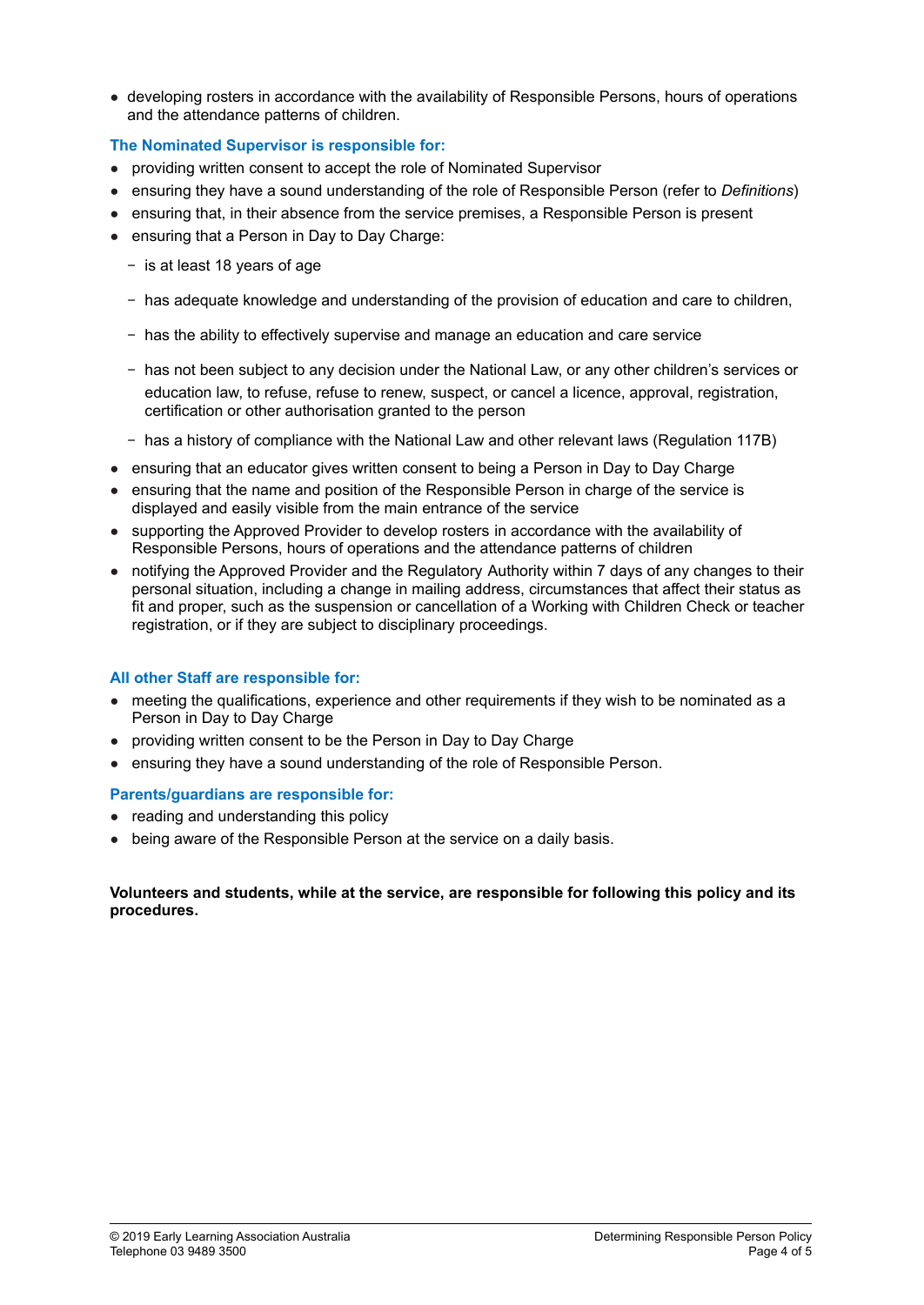● developing rosters in accordance with the availability of Responsible Persons, hours of operations and the attendance patterns of children.

## **The Nominated Supervisor is responsible for:**

- providing written consent to accept the role of Nominated Supervisor
- ensuring they have a sound understanding of the role of Responsible Person (refer to *Definitions*)
- ensuring that, in their absence from the service premises, a Responsible Person is present
- ensuring that a Person in Day to Day Charge:
	- − is at least 18 years of age
	- − has adequate knowledge and understanding of the provision of education and care to children,
	- − has the ability to effectively supervise and manage an education and care service
	- − has not been subject to any decision under the National Law, or any other children's services or education law, to refuse, refuse to renew, suspect, or cancel a licence, approval, registration, certification or other authorisation granted to the person
	- − has a history of compliance with the National Law and other relevant laws (Regulation 117B)
- ensuring that an educator gives written consent to being a Person in Day to Day Charge
- ensuring that the name and position of the Responsible Person in charge of the service is displayed and easily visible from the main entrance of the service
- supporting the Approved Provider to develop rosters in accordance with the availability of Responsible Persons, hours of operations and the attendance patterns of children
- notifying the Approved Provider and the Regulatory Authority within 7 days of any changes to their personal situation, including a change in mailing address, circumstances that affect their status as fit and proper, such as the suspension or cancellation of a Working with Children Check or teacher registration, or if they are subject to disciplinary proceedings.

#### **All other Staff are responsible for:**

- meeting the qualifications, experience and other requirements if they wish to be nominated as a Person in Day to Day Charge
- providing written consent to be the Person in Day to Day Charge
- ensuring they have a sound understanding of the role of Responsible Person.

#### **Parents/guardians are responsible for:**

- reading and understanding this policy
- being aware of the Responsible Person at the service on a daily basis.

#### **Volunteers and students, while at the service, are responsible for following this policy and its procedures.**